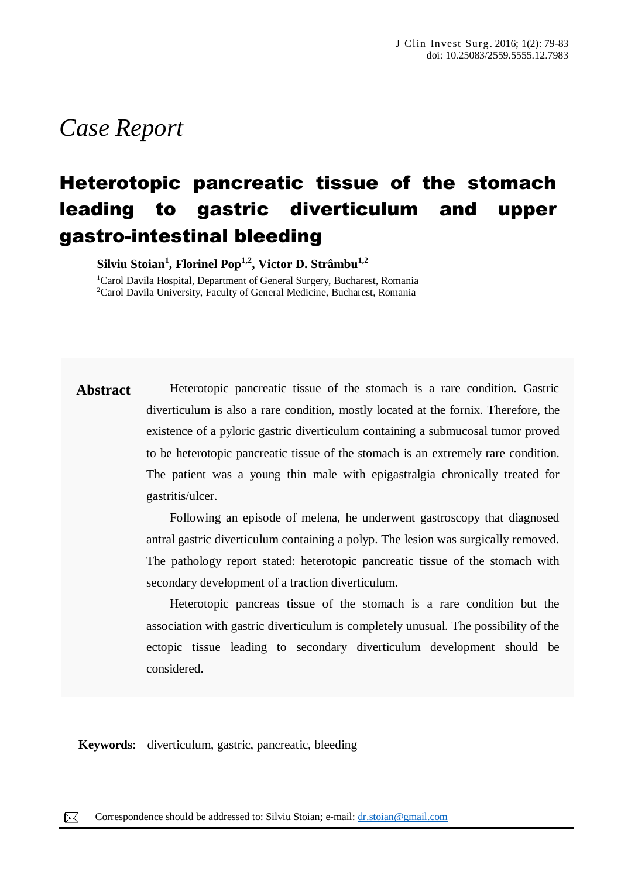# *Case Report*

## Heterotopic pancreatic tissue of the stomach leading to gastric diverticulum and upper gastro-intestinal bleeding

**Silviu Stoian<sup>1</sup> , Florinel Pop1,2 , Victor D. Strâmbu1,2**

<sup>1</sup>Carol Davila Hospital, Department of General Surgery, Bucharest, Romania <sup>2</sup>Carol Davila University, Faculty of General Medicine, Bucharest, Romania

**Abstract** Heterotopic pancreatic tissue of the stomach is a rare condition. Gastric diverticulum is also a rare condition, mostly located at the fornix. Therefore, the existence of a pyloric gastric diverticulum containing a submucosal tumor proved to be heterotopic pancreatic tissue of the stomach is an extremely rare condition. The patient was a young thin male with epigastralgia chronically treated for gastritis/ulcer.

> Following an episode of melena, he underwent gastroscopy that diagnosed antral gastric diverticulum containing a polyp. The lesion was surgically removed. The pathology report stated: heterotopic pancreatic tissue of the stomach with secondary development of a traction diverticulum.

> Heterotopic pancreas tissue of the stomach is a rare condition but the association with gastric diverticulum is completely unusual. The possibility of the ectopic tissue leading to secondary diverticulum development should be considered.

**Keywords**: diverticulum, gastric, pancreatic, bleeding

 $\boxtimes$ Correspondence should be addressed to: Silviu Stoian; e-mail:  $\underline{dr}$ .stoian@gmail.com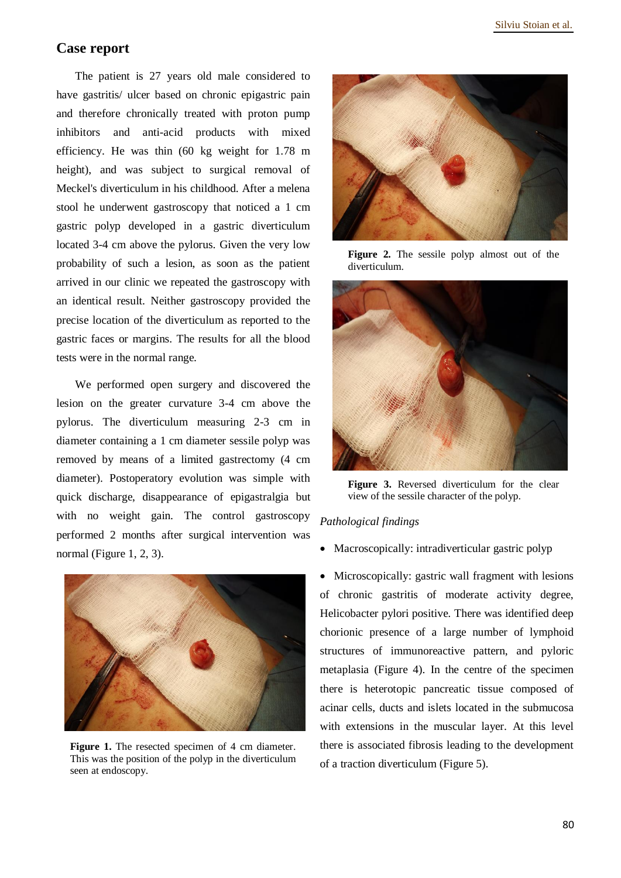## **Case report**

The patient is 27 years old male considered to have gastritis/ ulcer based on chronic epigastric pain and therefore chronically treated with proton pump inhibitors and anti-acid products with mixed efficiency. He was thin (60 kg weight for 1.78 m height), and was subject to surgical removal of Meckel's diverticulum in his childhood. After a melena stool he underwent gastroscopy that noticed a 1 cm gastric polyp developed in a gastric diverticulum located 3-4 cm above the pylorus. Given the very low probability of such a lesion, as soon as the patient arrived in our clinic we repeated the gastroscopy with an identical result. Neither gastroscopy provided the precise location of the diverticulum as reported to the gastric faces or margins. The results for all the blood tests were in the normal range.

We performed open surgery and discovered the lesion on the greater curvature 3-4 cm above the pylorus. The diverticulum measuring 2-3 cm in diameter containing a 1 cm diameter sessile polyp was removed by means of a limited gastrectomy (4 cm diameter). Postoperatory evolution was simple with quick discharge, disappearance of epigastralgia but with no weight gain. The control gastroscopy performed 2 months after surgical intervention was normal (Figure 1, 2, 3).



Figure 1. The resected specimen of 4 cm diameter. This was the position of the polyp in the diverticulum seen at endoscopy.



**Figure 2.** The sessile polyp almost out of the diverticulum.



**Figure 3.** Reversed diverticulum for the clear view of the sessile character of the polyp.

### *Pathological findings*

- Macroscopically: intradiverticular gastric polyp
- Microscopically: gastric wall fragment with lesions of chronic gastritis of moderate activity degree, Helicobacter pylori positive. There was identified deep chorionic presence of a large number of lymphoid structures of immunoreactive pattern, and pyloric metaplasia (Figure 4). In the centre of the specimen there is heterotopic pancreatic tissue composed of acinar cells, ducts and islets located in the submucosa with extensions in the muscular layer. At this level there is associated fibrosis leading to the development of a traction diverticulum (Figure 5).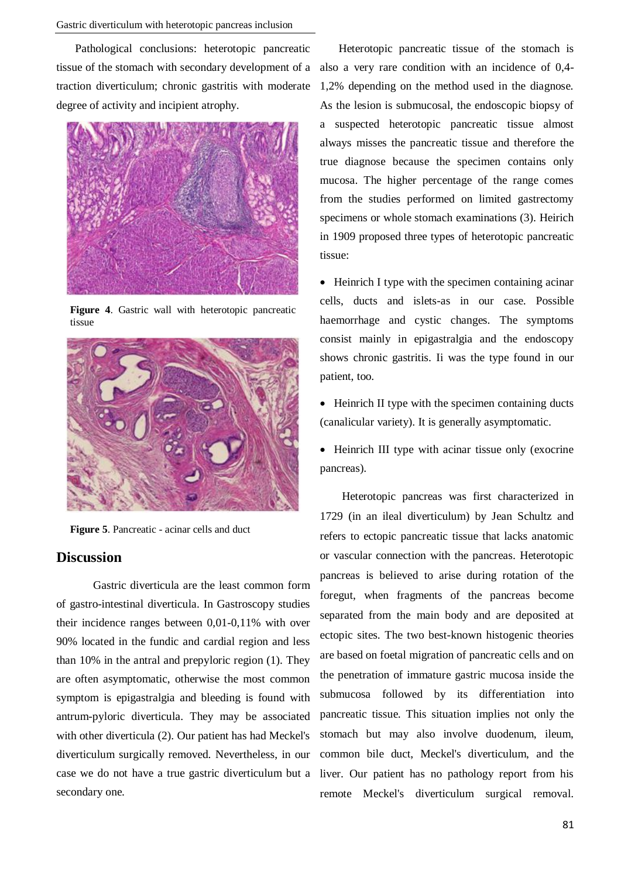Pathological conclusions: heterotopic pancreatic tissue of the stomach with secondary development of a traction diverticulum; chronic gastritis with moderate degree of activity and incipient atrophy.



**Figure** 4. Gastric wall with heterotopic pancreatic tissue



**Figure 5**. Pancreatic - acinar cells and duct

### **Discussion**

Gastric diverticula are the least common form of gastro-intestinal diverticula. In Gastroscopy studies their incidence ranges between 0,01-0,11% with over 90% located in the fundic and cardial region and less than 10% in the antral and prepyloric region (1). They are often asymptomatic, otherwise the most common symptom is epigastralgia and bleeding is found with antrum-pyloric diverticula. They may be associated with other diverticula (2). Our patient has had Meckel's diverticulum surgically removed. Nevertheless, in our case we do not have a true gastric diverticulum but a secondary one.

Heterotopic pancreatic tissue of the stomach is also a very rare condition with an incidence of 0,4- 1,2% depending on the method used in the diagnose. As the lesion is submucosal, the endoscopic biopsy of a suspected heterotopic pancreatic tissue almost always misses the pancreatic tissue and therefore the true diagnose because the specimen contains only mucosa. The higher percentage of the range comes from the studies performed on limited gastrectomy specimens or whole stomach examinations (3). Heirich in 1909 proposed three types of heterotopic pancreatic tissue:

• Heinrich I type with the specimen containing acinar cells, ducts and islets-as in our case. Possible haemorrhage and cystic changes. The symptoms consist mainly in epigastralgia and the endoscopy shows chronic gastritis. Ii was the type found in our patient, too.

• Heinrich II type with the specimen containing ducts (canalicular variety). It is generally asymptomatic.

• Heinrich III type with acinar tissue only (exocrine pancreas).

Heterotopic pancreas was first characterized in 1729 (in an ileal diverticulum) by Jean Schultz and refers to ectopic pancreatic tissue that lacks anatomic or vascular connection with the pancreas. Heterotopic pancreas is believed to arise during rotation of the foregut, when fragments of the pancreas become separated from the main body and are deposited at ectopic sites. The two best-known histogenic theories are based on foetal migration of pancreatic cells and on the penetration of immature gastric mucosa inside the submucosa followed by its differentiation into pancreatic tissue. This situation implies not only the stomach but may also involve duodenum, ileum, common bile duct, Meckel's diverticulum, and the liver. Our patient has no pathology report from his remote Meckel's diverticulum surgical removal.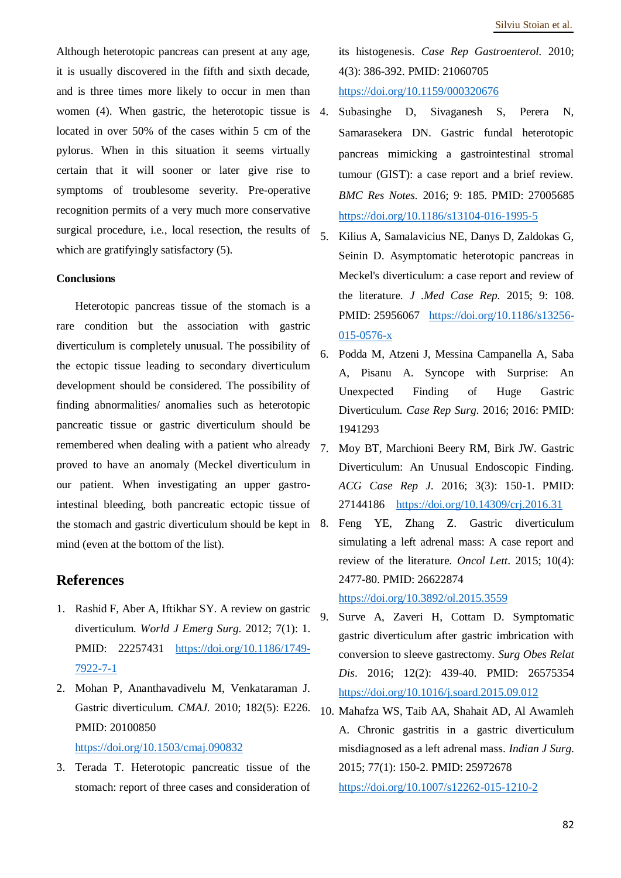Although heterotopic pancreas can present at any age, it is usually discovered in the fifth and sixth decade, and is three times more likely to occur in men than women (4). When gastric, the heterotopic tissue is 4. located in over 50% of the cases within 5 cm of the pylorus. When in this situation it seems virtually certain that it will sooner or later give rise to symptoms of troublesome severity. Pre-operative recognition permits of a very much more conservative surgical procedure, i.e., local resection, the results of which are gratifyingly satisfactory (5).

#### **Conclusions**

Heterotopic pancreas tissue of the stomach is a rare condition but the association with gastric diverticulum is completely unusual. The possibility of the ectopic tissue leading to secondary diverticulum development should be considered. The possibility of finding abnormalities/ anomalies such as heterotopic pancreatic tissue or gastric diverticulum should be remembered when dealing with a patient who already  $7$ proved to have an anomaly (Meckel diverticulum in our patient. When investigating an upper gastrointestinal bleeding, both pancreatic ectopic tissue of the stomach and gastric diverticulum should be kept in mind (even at the bottom of the list).

### **References**

- 1. Rashid F, Aber A, Iftikhar SY. A review on gastric diverticulum. *World J Emerg Surg*. 2012; 7(1): 1. PMID: 22257431 [https://doi.org/10.1186/1749-](https://doi.org/10.1186/1749-7922-7-1) [7922-7-1](https://doi.org/10.1186/1749-7922-7-1)
- 2. Mohan P, Ananthavadivelu M, Venkataraman J. Gastric diverticulum. *CMAJ.* 2010; 182(5): E226. PMID: 20100850 <https://doi.org/10.1503/cmaj.090832>
- 3. Terada T. Heterotopic pancreatic tissue of the stomach: report of three cases and consideration of

its histogenesis. *Case Rep Gastroenterol.* 2010; 4(3): 386-392. PMID: 21060705 <https://doi.org/10.1159/000320676>

- 4. Subasinghe D, Sivaganesh S, Perera N, Samarasekera DN. Gastric fundal heterotopic pancreas mimicking a gastrointestinal stromal tumour (GIST): a case report and a brief review. *BMC Res Notes.* 2016; 9: 185. PMID: 27005685 <https://doi.org/10.1186/s13104-016-1995-5>
- 5. Kilius A, Samalavicius NE, Danys D, Zaldokas G, Seinin D. Asymptomatic heterotopic pancreas in Meckel's diverticulum: a case report and review of the literature. *J* .*Med Case Rep.* 2015; 9: 108. PMID: 25956067 [https://doi.org/10.1186/s13256-](https://doi.org/10.1186/s13256-015-0576-x) [015-0576-x](https://doi.org/10.1186/s13256-015-0576-x)
- 6. Podda M, Atzeni J, Messina Campanella A, Saba A, Pisanu A. Syncope with Surprise: An Unexpected Finding of Huge Gastric Diverticulum. *Case Rep Surg*. 2016; 2016: PMID: 1941293
- 7. Moy BT, Marchioni Beery RM, Birk JW. Gastric Diverticulum: An Unusual Endoscopic Finding. *ACG Case Rep J*. 2016; 3(3): 150-1. PMID: 27144186 <https://doi.org/10.14309/crj.2016.31>
- 8. Feng YE, Zhang Z. Gastric diverticulum simulating a left adrenal mass: A case report and review of the literature. *Oncol Lett*. 2015; 10(4): 2477-80. PMID: 26622874

<https://doi.org/10.3892/ol.2015.3559>

- 9. Surve A, Zaveri H, Cottam D. Symptomatic gastric diverticulum after gastric imbrication with conversion to sleeve gastrectomy. *Surg Obes Relat Dis*. 2016; 12(2): 439-40. PMID: 26575354 <https://doi.org/10.1016/j.soard.2015.09.012>
- 10. Mahafza WS, Taib AA, Shahait AD, Al Awamleh A. Chronic gastritis in a gastric diverticulum misdiagnosed as a left adrenal mass. *Indian J Surg*. 2015; 77(1): 150-2. PMID: 25972678 <https://doi.org/10.1007/s12262-015-1210-2>